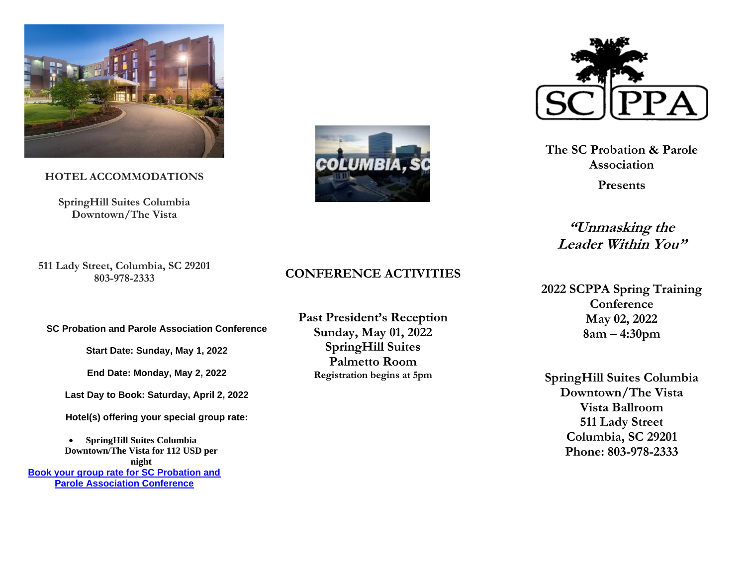

**HOTEL ACCOMMODATIONS**

**SpringHill Suites Columbia Downtown/The Vista**

**511 Lady Street, Columbia, SC 29201 803-978-2333**

**SC Probation and Parole Association Conference**

**Start Date: Sunday, May 1, 2022**

**End Date: Monday, May 2, 2022**

**Last Day to Book: Saturday, April 2, 2022**

**Hotel(s) offering your special group rate:**

• **SpringHill Suites Columbia Downtown/The Vista for 112 USD per night [Book your group rate for SC Probation and](https://gcc02.safelinks.protection.outlook.com/?url=https%3A%2F%2Fwww.marriott.com%2Fevents%2Fstart.mi%3Fid%3D1643924250320%26key%3DGRP&data=04%7C01%7Cbennett.lorri%40doc.sc.gov%7C64c7241e3270490a65ff08d9e75dd97b%7C016767516a6a4955802dbfea0c5a764c%7C0%7C0%7C637795213298008838%7CUnknown%7CTWFpbGZsb3d8eyJWIjoiMC4wLjAwMDAiLCJQIjoiV2luMzIiLCJBTiI6Ik1haWwiLCJXVCI6Mn0%3D%7C0&sdata=VyHfiTxkC0oGlDF%2BeHxp18i4rIHlcn6daOaEfJmbYuU%3D&reserved=0)  Parole [Association Conference](https://gcc02.safelinks.protection.outlook.com/?url=https%3A%2F%2Fwww.marriott.com%2Fevents%2Fstart.mi%3Fid%3D1643924250320%26key%3DGRP&data=04%7C01%7Cbennett.lorri%40doc.sc.gov%7C64c7241e3270490a65ff08d9e75dd97b%7C016767516a6a4955802dbfea0c5a764c%7C0%7C0%7C637795213298008838%7CUnknown%7CTWFpbGZsb3d8eyJWIjoiMC4wLjAwMDAiLCJQIjoiV2luMzIiLCJBTiI6Ik1haWwiLCJXVCI6Mn0%3D%7C0&sdata=VyHfiTxkC0oGlDF%2BeHxp18i4rIHlcn6daOaEfJmbYuU%3D&reserved=0)**





**The SC Probation & Parole Association**

**Presents**

**"Unmasking the Leader Within You"**

**2022 SCPPA Spring Training Conference May 02, 2022 8am – 4:30pm**

**SpringHill Suites Columbia Downtown/The Vista Vista Ballroom 511 Lady Street Columbia, SC 29201 Phone: 803-978-2333**

### **CONFERENCE ACTIVITIES**

**Past President's Reception Sunday, May 01, 2022 SpringHill Suites Palmetto Room Registration begins at 5pm**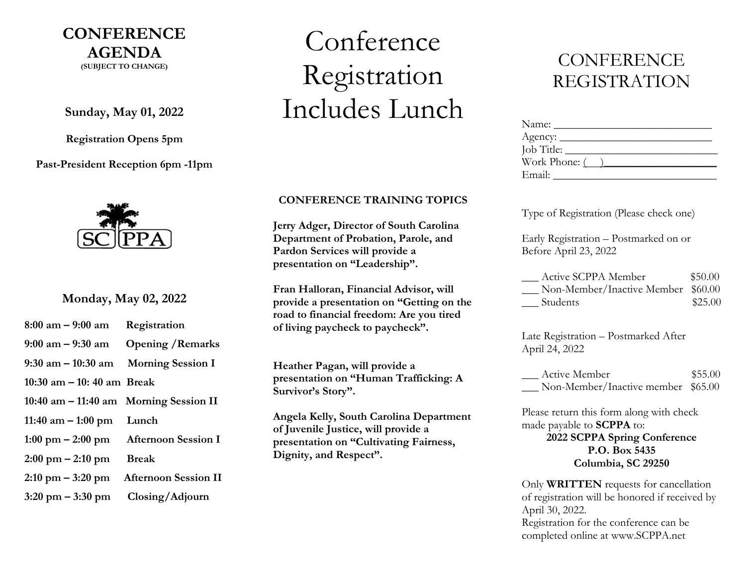## **CONFERENCE AGENDA (SUBJECT TO CHANGE)**

**Sunday, May 01, 2022**

**Registration Opens 5pm**

**Past-President Reception 6pm -11pm**



**Monday, May 02, 2022**

| $8:00$ am $-9:00$ am Registration         |                                                          |
|-------------------------------------------|----------------------------------------------------------|
|                                           | $9:00 \text{ am} - 9:30 \text{ am}$ Opening / Remarks    |
| 9:30 am $-$ 10:30 am Morning Session I    |                                                          |
| 10:30 am $-$ 10:40 am Break               |                                                          |
| $10:40$ am $-11:40$ am Morning Session II |                                                          |
| 11:40 $am - 1:00$ pm Lunch                |                                                          |
|                                           | $1:00 \text{ pm} - 2:00 \text{ pm}$ Afternoon Session I  |
| $2:00 \text{ pm} - 2:10 \text{ pm}$ Break |                                                          |
|                                           | $2:10 \text{ pm} - 3:20 \text{ pm}$ Afternoon Session II |

**3:20 pm – 3:30 pm Closing/Adjourn**

# Conference Registration Includes Lunch

#### **CONFERENCE TRAINING TOPICS**

**Jerry Adger, Director of South Carolina Department of Probation, Parole, and Pardon Services will provide a presentation on "Leadership".**

**Fran Halloran, Financial Advisor, will provide a presentation on "Getting on the road to financial freedom: Are you tired of living paycheck to paycheck".**

**Heather Pagan, will provide a presentation on "Human Trafficking: A Survivor's Story".**

**Angela Kelly, South Carolina Department of Juvenile Justice, will provide a presentation on "Cultivating Fairness, Dignity, and Respect".**

# **CONFERENCE** REGISTRATION

| Name:                 |  |
|-----------------------|--|
|                       |  |
| Job Title:            |  |
| Work Phone: $\qquad)$ |  |
| Email:                |  |

Type of Registration (Please check one)

Early Registration – Postmarked on or Before April 23, 2022

| Active SCPPA Member                | \$50.00 |
|------------------------------------|---------|
| Non-Member/Inactive Member \$60.00 |         |
| Students                           | \$25.00 |

Late Registration – Postmarked After April 24, 2022

Active Member \$55.00 \_\_\_ Non-Member/Inactive member \$65.00

Please return this form along with check made payable to **SCPPA** to:

> **2022 SCPPA Spring Conference P.O. Box 5435 Columbia, SC 29250**

Only **WRITTEN** requests for cancellation of registration will be honored if received by April 30, 2022. Registration for the conference can be completed online at www.SCPPA.net